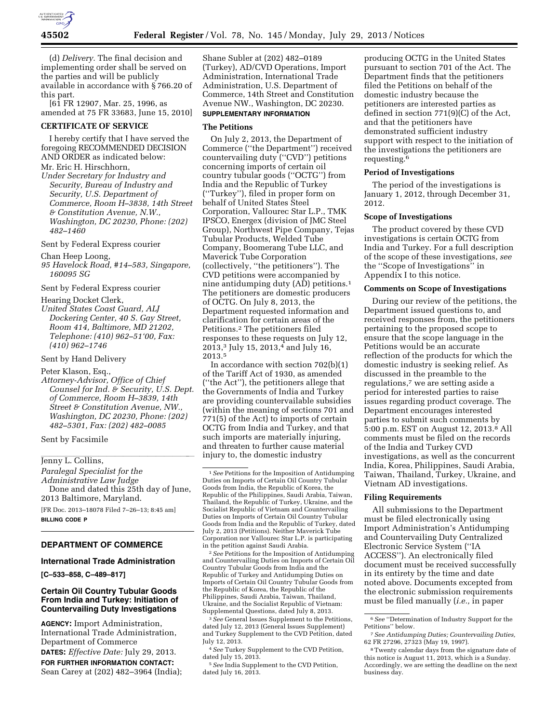

(d) *Delivery.* The final decision and implementing order shall be served on the parties and will be publicly available in accordance with § 766.20 of this part.

[61 FR 12907, Mar. 25, 1996, as amended at 75 FR 33683, June 15, 2010]

## **CERTIFICATE OF SERVICE**

I hereby certify that I have served the foregoing RECOMMENDED DECISION AND ORDER as indicated below: Mr. Eric H. Hirschhorn,

*Under Secretary for Industry and Security, Bureau of Industry and Security, U.S. Department of Commerce, Room H–3838, 14th Street & Constitution Avenue, N.W., Washington, DC 20230, Phone: (202) 482–1460* 

Sent by Federal Express courier

Chan Heep Loong,

*95 Havelock Road, #14–583, Singapore, 160095 SG* 

Sent by Federal Express courier

Hearing Docket Clerk,

*United States Coast Guard, ALJ Dockering Center, 40 S. Gay Street, Room 414, Baltimore, MD 21202, Telephone: (410) 962–51'00, Fax: (410) 962–1746* 

Sent by Hand Delivery

Peter Klason, Esq.,

*Attorney-Advisor, Office of Chief Counsel for Ind. & Security, U.S. Dept. of Commerce, Room H–3839, 14th Street & Constitution Avenue, NW., Washington, DC 20230, Phone: (202) 482–5301, Fax: (202) 482–0085* 

Sent by Facsimile

# Jenny L. Collins, **Example 2**

*Paralegal Specialist for the Administrative Law Judge*  Done and dated this 25th day of June,

2013 Baltimore, Maryland.

[FR Doc. 2013–18078 Filed 7–26–13; 8:45 am] **BILLING CODE P** 

## **DEPARTMENT OF COMMERCE**

## **International Trade Administration**

**[C–533–858, C–489–817]** 

## **Certain Oil Country Tubular Goods From India and Turkey: Initiation of Countervailing Duty Investigations**

**AGENCY:** Import Administration, International Trade Administration, Department of Commerce

**DATES:** *Effective Date:* July 29, 2013. **FOR FURTHER INFORMATION CONTACT:**  Sean Carey at (202) 482–3964 (India);

Shane Subler at (202) 482–0189 (Turkey), AD/CVD Operations, Import Administration, International Trade Administration, U.S. Department of Commerce, 14th Street and Constitution Avenue NW., Washington, DC 20230. **SUPPLEMENTARY INFORMATION**

## **The Petitions**

On July 2, 2013, the Department of Commerce (''the Department'') received countervailing duty (''CVD'') petitions concerning imports of certain oil country tubular goods (''OCTG'') from India and the Republic of Turkey (''Turkey''), filed in proper form on behalf of United States Steel Corporation, Vallourec Star L.P., TMK IPSCO, Energex (division of JMC Steel Group), Northwest Pipe Company, Tejas Tubular Products, Welded Tube Company, Boomerang Tube LLC, and Maverick Tube Corporation (collectively, ''the petitioners''). The CVD petitions were accompanied by nine antidumping duty (AD) petitions.1 The petitioners are domestic producers of OCTG. On July 8, 2013, the Department requested information and clarification for certain areas of the Petitions.2 The petitioners filed responses to these requests on July 12, 2013,3 July 15, 2013,4 and July 16, 2013.5

In accordance with section 702(b)(1) of the Tariff Act of 1930, as amended (''the Act''), the petitioners allege that the Governments of India and Turkey are providing countervailable subsidies (within the meaning of sections 701 and 771(5) of the Act) to imports of certain OCTG from India and Turkey, and that such imports are materially injuring, and threaten to further cause material injury to, the domestic industry

2*See* Petitions for the Imposition of Antidumping and Countervailing Duties on Imports of Certain Oil Country Tubular Goods from India and the Republic of Turkey and Antidumping Duties on Imports of Certain Oil Country Tubular Goods from the Republic of Korea, the Republic of the Philippines, Saudi Arabia, Taiwan, Thailand, Ukraine, and the Socialist Republic of Vietnam: Supplemental Questions, dated July 8, 2013.

3*See* General Issues Supplement to the Petitions, dated July 12, 2013 (General Issues Supplement) and Turkey Supplement to the CVD Petition, dated July 12, 2013.

4*See* Turkey Supplement to the CVD Petition, dated July 15, 2013.

5*See* India Supplement to the CVD Petition, dated July 16, 2013.

producing OCTG in the United States pursuant to section 701 of the Act. The Department finds that the petitioners filed the Petitions on behalf of the domestic industry because the petitioners are interested parties as defined in section 771(9)(C) of the Act, and that the petitioners have demonstrated sufficient industry support with respect to the initiation of the investigations the petitioners are requesting.6

#### **Period of Investigations**

The period of the investigations is January 1, 2012, through December 31, 2012.

#### **Scope of Investigations**

The product covered by these CVD investigations is certain OCTG from India and Turkey. For a full description of the scope of these investigations, *see*  the ''Scope of Investigations'' in Appendix I to this notice.

#### **Comments on Scope of Investigations**

During our review of the petitions, the Department issued questions to, and received responses from, the petitioners pertaining to the proposed scope to ensure that the scope language in the Petitions would be an accurate reflection of the products for which the domestic industry is seeking relief. As discussed in the preamble to the regulations,<sup>7</sup> we are setting aside a period for interested parties to raise issues regarding product coverage. The Department encourages interested parties to submit such comments by 5:00 p.m. EST on August 12, 2013.8 All comments must be filed on the records of the India and Turkey CVD investigations, as well as the concurrent India, Korea, Philippines, Saudi Arabia, Taiwan, Thailand, Turkey, Ukraine, and Vietnam AD investigations.

#### **Filing Requirements**

All submissions to the Department must be filed electronically using Import Administration's Antidumping and Countervailing Duty Centralized Electronic Service System (''IA ACCESS''). An electronically filed document must be received successfully in its entirety by the time and date noted above. Documents excepted from the electronic submission requirements must be filed manually (*i.e.,* in paper

<sup>1</sup>*See* Petitions for the Imposition of Antidumping Duties on Imports of Certain Oil Country Tubular Goods from India, the Republic of Korea, the Republic of the Philippines, Saudi Arabia, Taiwan, Thailand, the Republic of Turkey, Ukraine, and the Socialist Republic of Vietnam and Countervailing Duties on Imports of Certain Oil Country Tubular Goods from India and the Republic of Turkey, dated July 2, 2013 (Petitions). Neither Maverick Tube Corporation nor Vallourec Star L.P. is participating in the petition against Saudi Arabia.

<sup>6</sup>*See* ''Determination of Industry Support for the Petitions'' below.

<sup>7</sup>*See Antidumping Duties; Countervailing Duties,*  62 FR 27296, 27323 (May 19, 1997).

<sup>8</sup>Twenty calendar days from the signature date of this notice is August 11, 2013, which is a Sunday. Accordingly, we are setting the deadline on the next business day.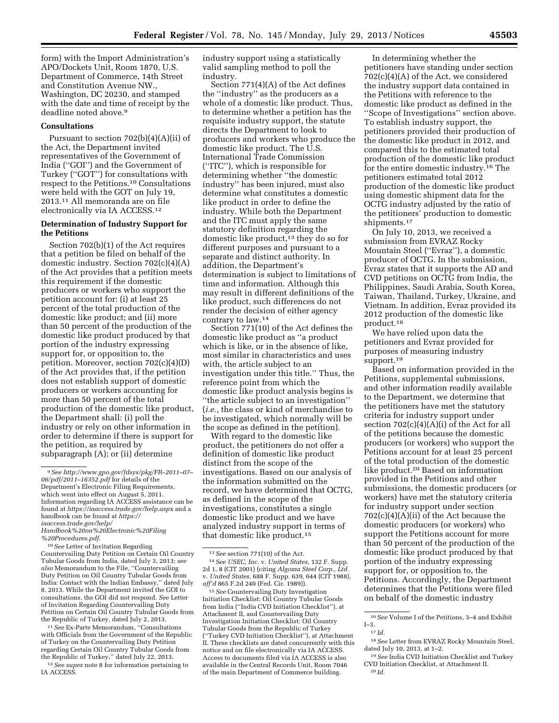form) with the Import Administration's APO/Dockets Unit, Room 1870, U.S. Department of Commerce, 14th Street and Constitution Avenue NW., Washington, DC 20230, and stamped with the date and time of receipt by the deadline noted above.9

## **Consultations**

Pursuant to section 702(b)(4)(A)(ii) of the Act, the Department invited representatives of the Government of India (''GOI'') and the Government of Turkey (''GOT'') for consultations with respect to the Petitions.10 Consultations were held with the GOT on July 19, 2013.11 All memoranda are on file electronically via IA ACCESS.12

## **Determination of Industry Support for the Petitions**

Section 702(b)(1) of the Act requires that a petition be filed on behalf of the domestic industry. Section 702(c)(4)(A) of the Act provides that a petition meets this requirement if the domestic producers or workers who support the petition account for: (i) at least 25 percent of the total production of the domestic like product; and (ii) more than 50 percent of the production of the domestic like product produced by that portion of the industry expressing support for, or opposition to, the petition. Moreover, section 702(c)(4)(D) of the Act provides that, if the petition does not establish support of domestic producers or workers accounting for more than 50 percent of the total production of the domestic like product, the Department shall: (i) poll the industry or rely on other information in order to determine if there is support for the petition, as required by subparagraph (A); or (ii) determine

*[Handbook%20on%20Electronic%20Filing](https://iaaccess.trade.gov/help/Handbook%20on%20Electronic%20Filing%20Procedures.pdf) [%20Procedures.pdf](https://iaaccess.trade.gov/help/Handbook%20on%20Electronic%20Filing%20Procedures.pdf)*.

10*See* Letter of Invitation Regarding Countervailing Duty Petition on Certain Oil Country Tubular Goods from India, dated July 3, 2013; *see also* Memorandum to the File, ''Countervailing Duty Petition on Oil Country Tubular Goods from India: Contact with the Indian Embassy,'' dated July 8, 2013. While the Department invited the GOI to consultations, the GOI did not respond. *See* Letter of Invitation Regarding Countervailing Duty Petition on Certain Oil Country Tubular Goods from the Republic of Turkey, dated July 2, 2013.

11*See* Ex-Parte Memorandum, ''Consultations with Officials from the Government of the Republic of Turkey on the Countervailing Duty Petition regarding Certain Oil Country Tubular Goods from the Republic of Turkey,'' dated July 22, 2013.

12*See supra* note 8 for information pertaining to IA ACCESS.

industry support using a statistically valid sampling method to poll the industry.

Section 771(4)(A) of the Act defines the ''industry'' as the producers as a whole of a domestic like product. Thus, to determine whether a petition has the requisite industry support, the statute directs the Department to look to producers and workers who produce the domestic like product. The U.S. International Trade Commission (''ITC''), which is responsible for determining whether ''the domestic industry'' has been injured, must also determine what constitutes a domestic like product in order to define the industry. While both the Department and the ITC must apply the same statutory definition regarding the domestic like product,<sup>13</sup> they do so for different purposes and pursuant to a separate and distinct authority. In addition, the Department's determination is subject to limitations of time and information. Although this may result in different definitions of the like product, such differences do not render the decision of either agency contrary to law.14

Section 771(10) of the Act defines the domestic like product as ''a product which is like, or in the absence of like, most similar in characteristics and uses with, the article subject to an investigation under this title.'' Thus, the reference point from which the domestic like product analysis begins is ''the article subject to an investigation'' (*i.e.,* the class or kind of merchandise to be investigated, which normally will be the scope as defined in the petition).

With regard to the domestic like product, the petitioners do not offer a definition of domestic like product distinct from the scope of the investigations. Based on our analysis of the information submitted on the record, we have determined that OCTG, as defined in the scope of the investigations, constitutes a single domestic like product and we have analyzed industry support in terms of that domestic like product.15

14*See USEC, Inc.* v. *United States,* 132 F. Supp. 2d 1, 8 (CIT 2001) (citing *Algoma Steel Corp., Ltd.*  v. *United States,* 688 F. Supp. 639, 644 (CIT 1988), *aff'd* 865 F.2d 240 (Fed. Cir. 1989)).

15*See* Countervailing Duty Investigation Initiation Checklist: Oil Country Tubular Goods from India (''India CVD Initiation Checklist''), at Attachment II, and Countervailing Duty Investigation Initiation Checklist: Oil Country Tubular Goods from the Republic of Turkey (''Turkey CVD Initiation Checklist''), at Attachment II. These checklists are dated concurrently with this notice and on file electronically via IA ACCESS. Access to documents filed via IA ACCESS is also available in the Central Records Unit, Room 7046 of the main Department of Commerce building.

In determining whether the petitioners have standing under section 702(c)(4)(A) of the Act, we considered the industry support data contained in the Petitions with reference to the domestic like product as defined in the ''Scope of Investigations'' section above. To establish industry support, the petitioners provided their production of the domestic like product in 2012, and compared this to the estimated total production of the domestic like product for the entire domestic industry.16 The petitioners estimated total 2012 production of the domestic like product using domestic shipment data for the OCTG industry adjusted by the ratio of the petitioners' production to domestic shipments.<sup>17</sup>

On July 10, 2013, we received a submission from EVRAZ Rocky Mountain Steel (''Evraz''), a domestic producer of OCTG. In the submission, Evraz states that it supports the AD and CVD petitions on OCTG from India, the Philippines, Saudi Arabia, South Korea, Taiwan, Thailand, Turkey, Ukraine, and Vietnam. In addition, Evraz provided its 2012 production of the domestic like product.18

We have relied upon data the petitioners and Evraz provided for purposes of measuring industry support.19

Based on information provided in the Petitions, supplemental submissions, and other information readily available to the Department, we determine that the petitioners have met the statutory criteria for industry support under section  $702(c)(4)(A)(i)$  of the Act for all of the petitions because the domestic producers (or workers) who support the Petitions account for at least 25 percent of the total production of the domestic like product.20 Based on information provided in the Petitions and other submissions, the domestic producers (or workers) have met the statutory criteria for industry support under section 702(c)(4)(A)(ii) of the Act because the domestic producers (or workers) who support the Petitions account for more than 50 percent of the production of the domestic like product produced by that portion of the industry expressing support for, or opposition to, the Petitions. Accordingly, the Department determines that the Petitions were filed on behalf of the domestic industry

<sup>9</sup>*See [http://www.gpo.gov/fdsys/pkg/FR–2011–07–](http://www.gpo.gov/fdsys/pkg/FR-2011-07-06/pdf/2011-16352.pdf)  [06/pdf/2011–16352.pdf](http://www.gpo.gov/fdsys/pkg/FR-2011-07-06/pdf/2011-16352.pdf)* for details of the Department's Electronic Filing Requirements, which went into effect on August 5, 2011. Information regarding IA ACCESS assistance can be found at *<https://iaaccess.trade.gov/help.aspx>*and a handbook can be found at *[https://](https://iaaccess.trade.gov/help/Handbook%20on%20Electronic%20Filing%20Procedures.pdf)  [iaaccess.trade.gov/help/](https://iaaccess.trade.gov/help/Handbook%20on%20Electronic%20Filing%20Procedures.pdf)*

<sup>13</sup>*See* section 771(10) of the Act.

<sup>16</sup>*See* Volume I of the Petitions, 3–4 and Exhibit I–3.

<sup>17</sup> *Id.* 

<sup>18</sup>*See* Letter from EVRAZ Rocky Mountain Steel, dated July 10, 2013, at 1–2.

<sup>19</sup>*See* India CVD Initiation Checklist and Turkey CVD Initiation Checklist, at Attachment II. 20 *Id.*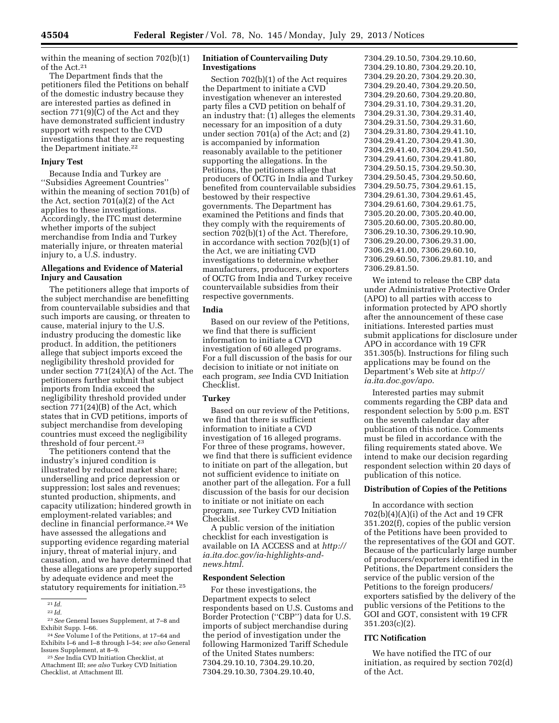within the meaning of section 702(b)(1) of the Act.21

The Department finds that the petitioners filed the Petitions on behalf of the domestic industry because they are interested parties as defined in section 771(9)(C) of the Act and they have demonstrated sufficient industry support with respect to the CVD investigations that they are requesting the Department initiate.22

## **Injury Test**

Because India and Turkey are ''Subsidies Agreement Countries'' within the meaning of section 701(b) of the Act, section 701(a)(2) of the Act applies to these investigations. Accordingly, the ITC must determine whether imports of the subject merchandise from India and Turkey materially injure, or threaten material injury to, a U.S. industry.

#### **Allegations and Evidence of Material Injury and Causation**

The petitioners allege that imports of the subject merchandise are benefitting from countervailable subsidies and that such imports are causing, or threaten to cause, material injury to the U.S. industry producing the domestic like product. In addition, the petitioners allege that subject imports exceed the negligibility threshold provided for under section 771(24)(A) of the Act. The petitioners further submit that subject imports from India exceed the negligibility threshold provided under section 771(24)(B) of the Act, which states that in CVD petitions, imports of subject merchandise from developing countries must exceed the negligibility threshold of four percent.23

The petitioners contend that the industry's injured condition is illustrated by reduced market share; underselling and price depression or suppression; lost sales and revenues; stunted production, shipments, and capacity utilization; hindered growth in employment-related variables; and decline in financial performance.<sup>24</sup> We have assessed the allegations and supporting evidence regarding material injury, threat of material injury, and causation, and we have determined that these allegations are properly supported by adequate evidence and meet the statutory requirements for initiation.25

## **Initiation of Countervailing Duty Investigations**

Section 702(b)(1) of the Act requires the Department to initiate a CVD investigation whenever an interested party files a CVD petition on behalf of an industry that: (1) alleges the elements necessary for an imposition of a duty under section 701(a) of the Act; and (2) is accompanied by information reasonably available to the petitioner supporting the allegations. In the Petitions, the petitioners allege that producers of OCTG in India and Turkey benefited from countervailable subsidies bestowed by their respective governments. The Department has examined the Petitions and finds that they comply with the requirements of section 702(b)(1) of the Act. Therefore, in accordance with section 702(b)(1) of the Act, we are initiating CVD investigations to determine whether manufacturers, producers, or exporters of OCTG from India and Turkey receive countervailable subsidies from their respective governments.

## **India**

Based on our review of the Petitions, we find that there is sufficient information to initiate a CVD investigation of 60 alleged programs. For a full discussion of the basis for our decision to initiate or not initiate on each program, *see* India CVD Initiation Checklist.

## **Turkey**

Based on our review of the Petitions, we find that there is sufficient information to initiate a CVD investigation of 16 alleged programs. For three of these programs, however, we find that there is sufficient evidence to initiate on part of the allegation, but not sufficient evidence to initiate on another part of the allegation. For a full discussion of the basis for our decision to initiate or not initiate on each program, *see* Turkey CVD Initiation Checklist.

A public version of the initiation checklist for each investigation is available on IA ACCESS and at *[http://](http://ia.ita.doc.gov/ia-highlights-and-news.html) [ia.ita.doc.gov/ia-highlights-and](http://ia.ita.doc.gov/ia-highlights-and-news.html)[news.html](http://ia.ita.doc.gov/ia-highlights-and-news.html)*.

## **Respondent Selection**

For these investigations, the Department expects to select respondents based on U.S. Customs and Border Protection (''CBP'') data for U.S. imports of subject merchandise during the period of investigation under the following Harmonized Tariff Schedule of the United States numbers: 7304.29.10.10, 7304.29.10.20, 7304.29.10.30, 7304.29.10.40,

7304.29.10.50, 7304.29.10.60, 7304.29.10.80, 7304.29.20.10, 7304.29.20.20, 7304.29.20.30, 7304.29.20.40, 7304.29.20.50, 7304.29.20.60, 7304.29.20.80, 7304.29.31.10, 7304.29.31.20, 7304.29.31.30, 7304.29.31.40, 7304.29.31.50, 7304.29.31.60, 7304.29.31.80, 7304.29.41.10, 7304.29.41.20, 7304.29.41.30, 7304.29.41.40, 7304.29.41.50, 7304.29.41.60, 7304.29.41.80, 7304.29.50.15, 7304.29.50.30, 7304.29.50.45, 7304.29.50.60, 7304.29.50.75, 7304.29.61.15, 7304.29.61.30, 7304.29.61.45, 7304.29.61.60, 7304.29.61.75, 7305.20.20.00, 7305.20.40.00, 7305.20.60.00, 7305.20.80.00, 7306.29.10.30, 7306.29.10.90, 7306.29.20.00, 7306.29.31.00, 7306.29.41.00, 7306.29.60.10, 7306.29.60.50, 7306.29.81.10, and 7306.29.81.50.

We intend to release the CBP data under Administrative Protective Order (APO) to all parties with access to information protected by APO shortly after the announcement of these case initiations. Interested parties must submit applications for disclosure under APO in accordance with 19 CFR 351.305(b). Instructions for filing such applications may be found on the Department's Web site at *[http://](http://ia.ita.doc.gov/apo)  [ia.ita.doc.gov/apo](http://ia.ita.doc.gov/apo)*.

Interested parties may submit comments regarding the CBP data and respondent selection by 5:00 p.m. EST on the seventh calendar day after publication of this notice. Comments must be filed in accordance with the filing requirements stated above. We intend to make our decision regarding respondent selection within 20 days of publication of this notice.

## **Distribution of Copies of the Petitions**

In accordance with section 702(b)(4)(A)(i) of the Act and 19 CFR 351.202(f), copies of the public version of the Petitions have been provided to the representatives of the GOI and GOT. Because of the particularly large number of producers/exporters identified in the Petitions, the Department considers the service of the public version of the Petitions to the foreign producers/ exporters satisfied by the delivery of the public versions of the Petitions to the GOI and GOT, consistent with 19 CFR 351.203(c)(2).

#### **ITC Notification**

We have notified the ITC of our initiation, as required by section 702(d) of the Act.

<sup>21</sup> *Id.* 

<sup>22</sup> *Id.* 

<sup>23</sup>*See* General Issues Supplement, at 7–8 and

<sup>&</sup>lt;sup>24</sup> See Volume I of the Petitions, at 17–64 and Exhibits I–6 and I–8 through I–54; *see also* General Issues Supplement, at 8–9. 25*See* India CVD Initiation Checklist, at

Attachment III; *see also* Turkey CVD Initiation Checklist, at Attachment III.